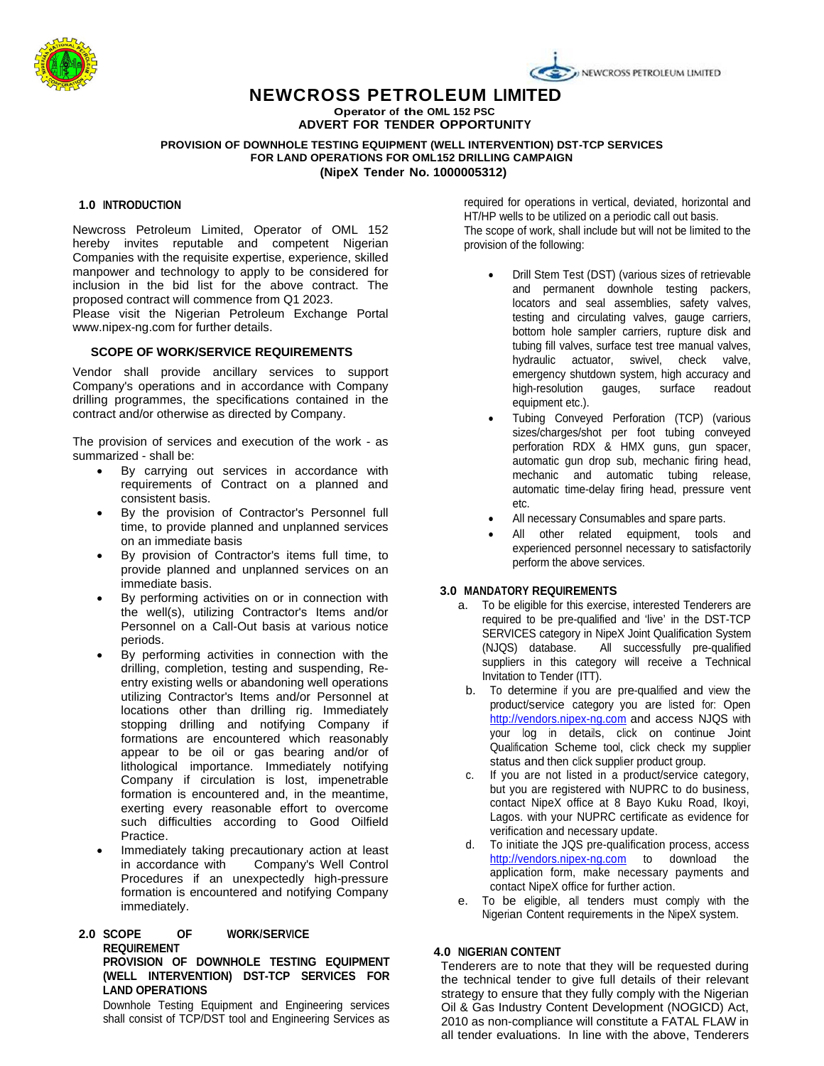

# **NEWCROSS PETROLEUM LIMITED**

**Operator of the OML 152 PSC ADVERT FOR TENDER OPPORTUNITY**

**PROVISION OF DOWNHOLE TESTING EQUIPMENT (WELL INTERVENTION) DST-TCP SERVICES FOR LAND OPERATIONS FOR OML152 DRILLING CAMPAIGN (NipeX Tender No. 1000005312)**

## **1.0 INTRODUCTION**

Newcross Petroleum Limited, Operator of OML 152 hereby invites reputable and competent Nigerian Companies with the requisite expertise, experience, skilled manpower and technology to apply to be considered for inclusion in the bid list for the above contract. The proposed contract will commence from Q1 2023.

Please visit the Nigerian Petroleum Exchange Portal www.nipex-ng.com for further details.

### **SCOPE OF WORK/SERVICE REQUIREMENTS**

Vendor shall provide ancillary services to support Company's operations and in accordance with Company drilling programmes, the specifications contained in the contract and/or otherwise as directed by Company.

The provision of services and execution of the work - as summarized - shall be:

- By carrying out services in accordance with requirements of Contract on a planned and consistent basis.
- By the provision of Contractor's Personnel full time, to provide planned and unplanned services on an immediate basis
- By provision of Contractor's items full time, to provide planned and unplanned services on an immediate basis.
- By performing activities on or in connection with the well(s), utilizing Contractor's Items and/or Personnel on a Call-Out basis at various notice periods.
- By performing activities in connection with the drilling, completion, testing and suspending, Reentry existing wells or abandoning well operations utilizing Contractor's Items and/or Personnel at locations other than drilling rig. Immediately stopping drilling and notifying Company if formations are encountered which reasonably appear to be oil or gas bearing and/or of lithological importance. Immediately notifying Company if circulation is lost, impenetrable formation is encountered and, in the meantime, exerting every reasonable effort to overcome such difficulties according to Good Oilfield Practice.
- Immediately taking precautionary action at least in accordance with Company's Well Control Procedures if an unexpectedly high-pressure formation is encountered and notifying Company immediately.

### **2.0 SCOPE OF WORK/SERVICE REQUIREMENT PROVISION OF DOWNHOLE TESTING EQUIPMENT (WELL INTERVENTION) DST-TCP SERVICES FOR LAND OPERATIONS**

Downhole Testing Equipment and Engineering services shall consist of TCP/DST tool and Engineering Services as required for operations in vertical, deviated, horizontal and HT/HP wells to be utilized on a periodic call out basis.

NEWCROSS PETROLEUM LIMITED

The scope of work, shall include but will not be limited to the provision of the following:

- Drill Stem Test (DST) (various sizes of retrievable and permanent downhole testing packers, locators and seal assemblies, safety valves, testing and circulating valves, gauge carriers, bottom hole sampler carriers, rupture disk and tubing fill valves, surface test tree manual valves, hydraulic actuator, swivel, check valve, emergency shutdown system, high accuracy and high-resolution gauges, surface readout equipment etc.).
- Tubing Conveyed Perforation (TCP) (various sizes/charges/shot per foot tubing conveyed perforation RDX & HMX guns, gun spacer, automatic gun drop sub, mechanic firing head, mechanic and automatic tubing release, automatic time-delay firing head, pressure vent etc.
- All necessary Consumables and spare parts.
- All other related equipment, tools and experienced personnel necessary to satisfactorily perform the above services.

### **3.0 MANDATORY REQUIREMENTS**

- a. To be eligible for this exercise, interested Tenderers are required to be pre-qualified and 'live' in the DST-TCP SERVICES category in NipeX Joint Qualification System (NJQS) database. All successfully pre-qualified suppliers in this category will receive a Technical Invitation to Tender (ITT).
- b. To determine if you are pre-qualified and view the product/service category you are listed for: Open [http://vendors.nipex-ng.com](http://vendors.nipex-ng.com/) and access NJQS with your log in details, click on continue Joint Qualification Scheme tool, click check my supplier status and then click supplier product group.
- c. If you are not listed in a product/service category, but you are registered with NUPRC to do business, contact NipeX office at 8 Bayo Kuku Road, Ikoyi, Lagos. with your NUPRC certificate as evidence for verification and necessary update.
- d. To initiate the JQS pre-qualification process, access [http://vendors.nipex-ng.com](http://vendors.nipex-ng.com/) to download the application form, make necessary payments and contact NipeX office for further action.
- e. To be eligible, all tenders must comply with the Nigerian Content requirements in the NipeX system.

#### **4.0 NIGERIAN CONTENT**

Tenderers are to note that they will be requested during the technical tender to give full details of their relevant strategy to ensure that they fully comply with the Nigerian Oil & Gas Industry Content Development (NOGICD) Act, 2010 as non-compliance will constitute a FATAL FLAW in all tender evaluations. In line with the above, Tenderers